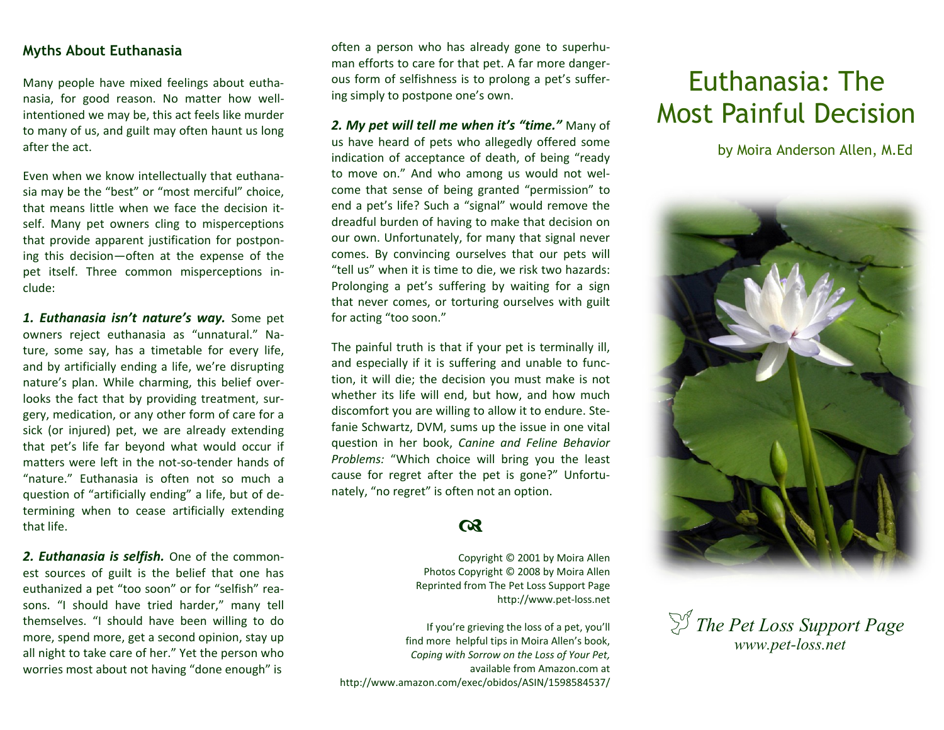## **Myths About Euthanasia**

Many people have mixed feelings about euthanasia, for good reason. No matter how wellintentioned we may be, this act feels like murder to many of us, and guilt may often haunt us long after the act.

Even when we know intellectually that euthanasia may be the "best" or "most merciful" choice, that means little when we face the decision itself. Many pet owners cling to misperceptions that provide apparent justification for postponing this decision—often at the expense of the pet itself. Three common misperceptions include:

*1. Euthanasia isn't nature's way.* Some pet owners reject euthanasia as "unnatural." Nature, some say, has a timetable for every life, and by artificially ending a life, we're disrupting nature's plan. While charming, this belief overlooks the fact that by providing treatment, surgery, medication, or any other form of care for a sick (or injured) pet, we are already extending that pet's life far beyond what would occur if matters were left in the not-so-tender hands of "nature." Euthanasia is often not so much a question of "artificially ending" a life, but of determining when to cease artificially extending that life.

*2. Euthanasia is selfish.* One of the commonest sources of guilt is the belief that one has euthanized a pet "too soon" or for "selfish" reasons. "I should have tried harder," many tell themselves. "I should have been willing to do more, spend more, get a second opinion, stay up all night to take care of her." Yet the person who worries most about not having "done enough" is

often a person who has already gone to superhuman efforts to care for that pet. A far more dangerous form of selfishness is to prolong a pet's suffering simply to postpone one's own.

*2. My pet will tell me when it's "time."* Many of us have heard of pets who allegedly offered some indication of acceptance of death, of being "ready to move on." And who among us would not welcome that sense of being granted "permission" to end a pet's life? Such a "signal" would remove the dreadful burden of having to make that decision on our own. Unfortunately, for many that signal never comes. By convincing ourselves that our pets will "tell us" when it is time to die, we risk two hazards: Prolonging a pet's suffering by waiting for a sign that never comes, or torturing ourselves with guilt for acting "too soon."

The painful truth is that if your pet is terminally ill, and especially if it is suffering and unable to function, it will die; the decision you must make is not whether its life will end, but how, and how much discomfort you are willing to allow it to endure. Stefanie Schwartz, DVM, sums up the issue in one vital question in her book, *Canine and Feline Behavior Problems:* "Which choice will bring you the least cause for regret after the pet is gone?" Unfortunately, "no regret" is often not an option.

## $\boldsymbol{\alpha}$

Copyright © 2001 by Moira Allen Photos Copyright © 2008 by Moira Allen Reprinted from The Pet Loss Support Page http://www.pet-loss.net

If you're grieving the loss of a pet, you'll find more helpful tips in Moira Allen's book, *Coping with Sorrow on the Loss of Your Pet,*  available from Amazon.com at http://www.amazon.com/exec/obidos/ASIN/1598584537/

## Euthanasia: The Most Painful Decision

by Moira Anderson Allen, M.Ed